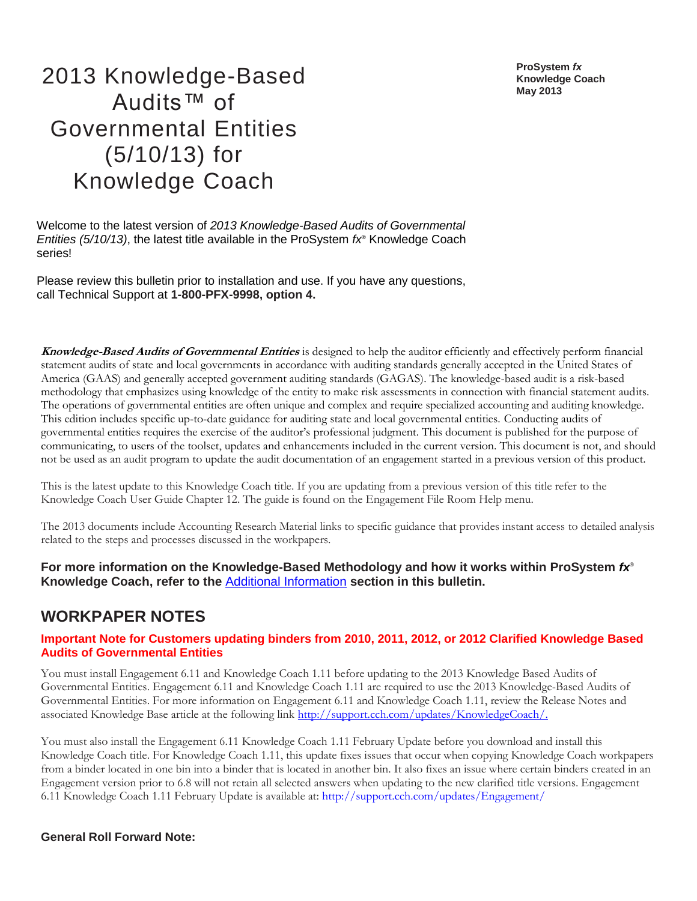**ProSystem** *fx* **Knowledge Coach May 2013**

# 2013 Knowledge-Based Audits™ of Governmental Entities (5/10/13) for Knowledge Coach

Welcome to the latest version of *2013 Knowledge-Based Audits of Governmental Entities (5/10/13)*, the latest title available in the ProSystem *fx*® Knowledge Coach series!

Please review this bulletin prior to installation and use. If you have any questions, call Technical Support at **1-800-PFX-9998, option 4.**

**Knowledge-Based Audits of Governmental Entities** is designed to help the auditor efficiently and effectively perform financial statement audits of state and local governments in accordance with auditing standards generally accepted in the United States of America (GAAS) and generally accepted government auditing standards (GAGAS). The knowledge-based audit is a risk-based methodology that emphasizes using knowledge of the entity to make risk assessments in connection with financial statement audits. The operations of governmental entities are often unique and complex and require specialized accounting and auditing knowledge. This edition includes specific up-to-date guidance for auditing state and local governmental entities. Conducting audits of governmental entities requires the exercise of the auditor's professional judgment. This document is published for the purpose of communicating, to users of the toolset, updates and enhancements included in the current version. This document is not, and should not be used as an audit program to update the audit documentation of an engagement started in a previous version of this product.

This is the latest update to this Knowledge Coach title. If you are updating from a previous version of this title refer to the Knowledge Coach User Guide Chapter 12. The guide is found on the Engagement File Room Help menu.

The 2013 documents include Accounting Research Material links to specific guidance that provides instant access to detailed analysis related to the steps and processes discussed in the workpapers.

**For more information on the Knowledge-Based Methodology and how it works within ProSystem** *fx*® **Knowledge Coach, refer to the** [Additional Information](#page-2-0) **section in this bulletin.**

# **WORKPAPER NOTES**

#### **Important Note for Customers updating binders from 2010, 2011, 2012, or 2012 Clarified Knowledge Based Audits of Governmental Entities**

You must install Engagement 6.11 and Knowledge Coach 1.11 before updating to the 2013 Knowledge Based Audits of Governmental Entities. Engagement 6.11 and Knowledge Coach 1.11 are required to use the 2013 Knowledge-Based Audits of Governmental Entities. For more information on Engagement 6.11 and Knowledge Coach 1.11, review the Release Notes and associated Knowledge Base article at the following link [http://support.cch.com/updates/KnowledgeCoach/.](http://support.cch.com/updates/KnowledgeCoach/)

You must also install the Engagement 6.11 Knowledge Coach 1.11 February Update before you download and install this Knowledge Coach title. For Knowledge Coach 1.11, this update fixes issues that occur when copying Knowledge Coach workpapers from a binder located in one bin into a binder that is located in another bin. It also fixes an issue where certain binders created in an Engagement version prior to 6.8 will not retain all selected answers when updating to the new clarified title versions. Engagement 6.11 Knowledge Coach 1.11 February Update is available at: http://support.cch.com/updates/Engagement/

#### **General Roll Forward Note:**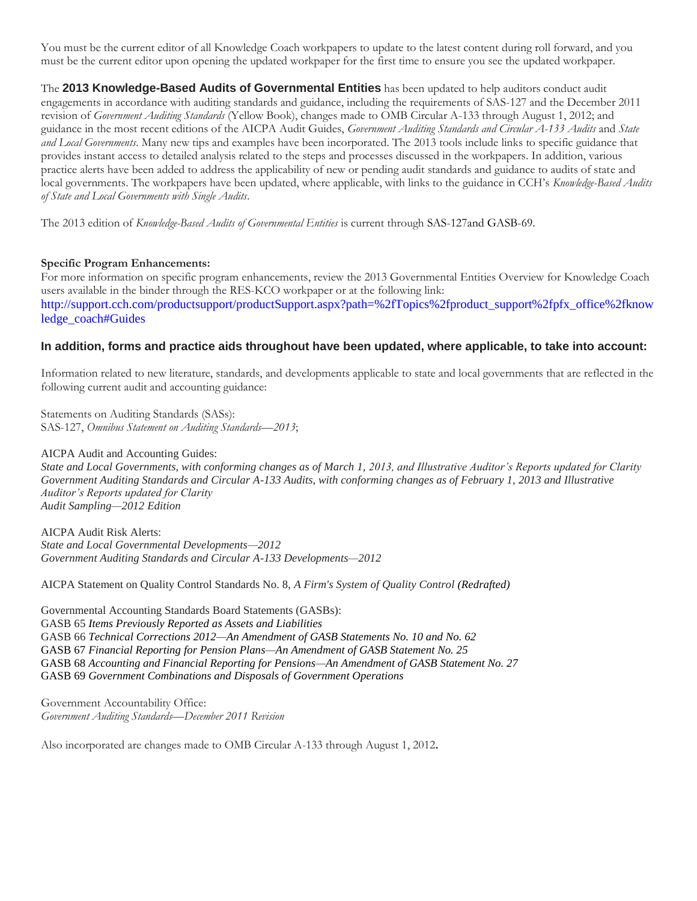You must be the current editor of all Knowledge Coach workpapers to update to the latest content during roll forward, and you must be the current editor upon opening the updated workpaper for the first time to ensure you see the updated workpaper.

The **2013 Knowledge-Based Audits of Governmental Entities** has been updated to help auditors conduct audit engagements in accordance with auditing standards and guidance, including the requirements of SAS-127 and the December 2011 revision of *Government Auditing Standards* (Yellow Book), changes made to OMB Circular A-133 through August 1, 2012; and guidance in the most recent editions of the AICPA Audit Guides, *Government Auditing Standards and Circular A-133 Audits* and *State and Local Governments*. Many new tips and examples have been incorporated. The 2013 tools include links to specific guidance that provides instant access to detailed analysis related to the steps and processes discussed in the workpapers. In addition, various practice alerts have been added to address the applicability of new or pending audit standards and guidance to audits of state and local governments. The workpapers have been updated, where applicable, with links to the guidance in CCH's *Knowledge-Based Audits of State and Local Governments with Single Audits*.

The 2013 edition of *Knowledge-Based Audits of Governmental Entities* is current through SAS-127and GASB-69.

#### **Specific Program Enhancements:**

For more information on specific program enhancements, review the 2013 Governmental Entities Overview for Knowledge Coach users available in the binder through the RES-KCO workpaper or at the following link: http://support.cch.com/productsupport/productSupport.aspx?path=%2fTopics%2fproduct\_support%2fpfx\_office%2fknow ledge\_coach#Guides

#### **In addition, forms and practice aids throughout have been updated, where applicable, to take into account:**

Information related to new literature, standards, and developments applicable to state and local governments that are reflected in the following current audit and accounting guidance:

Statements on Auditing Standards (SASs): SAS-127, *Omnibus Statement on Auditing Standards—2013*;

AICPA Audit and Accounting Guides: *State and Local Governments, with conforming changes as of March 1, 2013, and Illustrative Auditor's Reports updated for Clarity Government Auditing Standards and Circular A-133 Audits, with conforming changes as of February 1, 2013 and Illustrative Auditor's Reports updated for Clarity Audit Sampling—2012 Edition* 

AICPA Audit Risk Alerts: *State and Local Governmental Developments—2012 [Government Auditing Standards and Circular A-133 Developments—2012](http://www.accountingresearchmanager.com/wk/rm.nsf/8befeab843ef00cd072564ac0082d2ad/a38491425ed4d0518625764100493761?OpenDocument&rnm=184359)*

AICPA Statement on Quality Control Standards No. 8, *A Firm's System of Quality Control (Redrafted)*

Governmental Accounting Standards Board Statements (GASBs): GASB 65 *Items Previously Reported as Assets and Liabilities* GASB 66 *Technical Corrections 2012—An Amendment of GASB Statements No. 10 and No. 62* GASB 67 *Financial Reporting for Pension Plans—An Amendment of GASB Statement No. 25* GASB 68 *Accounting and Financial Reporting for Pensions—An Amendment of GASB Statement No. 27* GASB 69 *Government Combinations and Disposals of Government Operations*

Government Accountability Office: *Government Auditing Standards—December 2011 Revision*

Also incorporated are changes made to OMB Circular A-133 through August 1, 2012.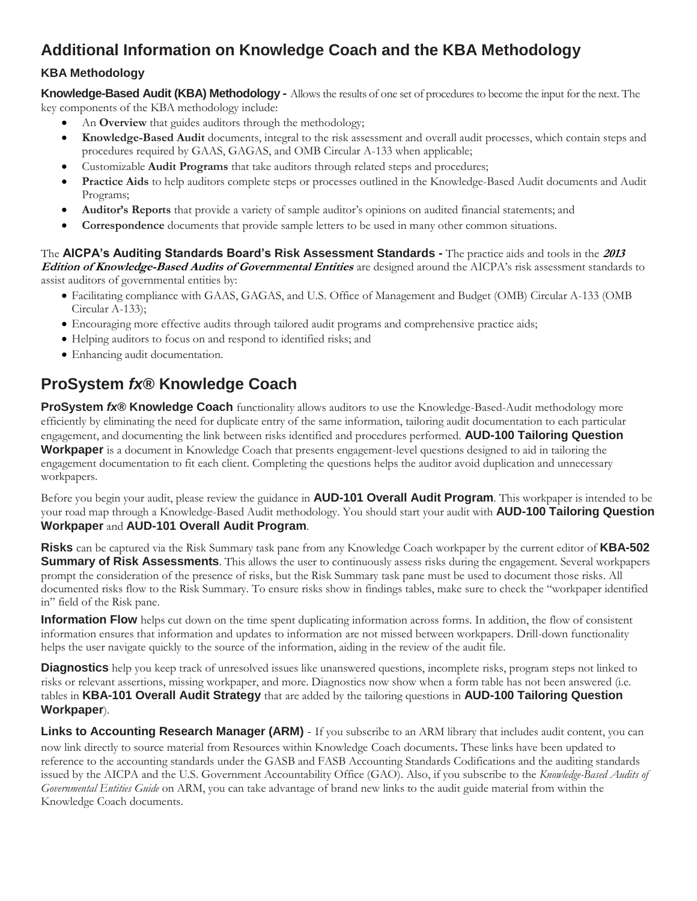# <span id="page-2-0"></span>**Additional Information on Knowledge Coach and the KBA Methodology**

### **KBA Methodology**

**Knowledge-Based Audit (KBA) Methodology -** Allows the results of one set of procedures to become the input for the next. The key components of the KBA methodology include:

- An **Overview** that guides auditors through the methodology;
- **Knowledge-Based Audit** documents, integral to the risk assessment and overall audit processes, which contain steps and procedures required by GAAS, GAGAS, and OMB Circular A-133 when applicable;
- Customizable **Audit Programs** that take auditors through related steps and procedures;
- **Practice Aids** to help auditors complete steps or processes outlined in the Knowledge-Based Audit documents and Audit Programs;
- **Auditor's Reports** that provide a variety of sample auditor's opinions on audited financial statements; and
- **Correspondence** documents that provide sample letters to be used in many other common situations.

The **AICPA's Auditing Standards Board's Risk Assessment Standards -** The practice aids and tools in the **<sup>2013</sup> Edition of Knowledge-Based Audits of Governmental Entities** are designed around the AICPA's risk assessment standards to assist auditors of governmental entities by:

- Facilitating compliance with GAAS, GAGAS, and U.S. Office of Management and Budget (OMB) Circular A-133 (OMB Circular A-133);
- Encouraging more effective audits through tailored audit programs and comprehensive practice aids;
- Helping auditors to focus on and respond to identified risks; and
- Enhancing audit documentation.

# **ProSystem** *fx***® Knowledge Coach**

**ProSystem** *fx***® Knowledge Coach** functionality allows auditors to use the Knowledge-Based-Audit methodology more efficiently by eliminating the need for duplicate entry of the same information, tailoring audit documentation to each particular engagement, and documenting the link between risks identified and procedures performed. **AUD-100 Tailoring Question Workpaper** is a document in Knowledge Coach that presents engagement-level questions designed to aid in tailoring the engagement documentation to fit each client. Completing the questions helps the auditor avoid duplication and unnecessary workpapers.

Before you begin your audit, please review the guidance in **AUD-101 Overall Audit Program**. This workpaper is intended to be your road map through a Knowledge-Based Audit methodology. You should start your audit with **AUD-100 Tailoring Question Workpaper** and **AUD-101 Overall Audit Program**.

**Risks** can be captured via the Risk Summary task pane from any Knowledge Coach workpaper by the current editor of **KBA-502 Summary of Risk Assessments**. This allows the user to continuously assess risks during the engagement. Several workpapers prompt the consideration of the presence of risks, but the Risk Summary task pane must be used to document those risks. All documented risks flow to the Risk Summary. To ensure risks show in findings tables, make sure to check the "workpaper identified in" field of the Risk pane.

**Information Flow** helps cut down on the time spent duplicating information across forms. In addition, the flow of consistent information ensures that information and updates to information are not missed between workpapers. Drill-down functionality helps the user navigate quickly to the source of the information, aiding in the review of the audit file.

**Diagnostics** help you keep track of unresolved issues like unanswered questions, incomplete risks, program steps not linked to risks or relevant assertions, missing workpaper, and more. Diagnostics now show when a form table has not been answered (i.e. tables in **KBA-101 Overall Audit Strategy** that are added by the tailoring questions in **AUD-100 Tailoring Question Workpaper**).

**Links to Accounting Research Manager (ARM)** - If you subscribe to an ARM library that includes audit content, you can now link directly to source material from Resources within Knowledge Coach documents. These links have been updated to reference to the accounting standards under the GASB and FASB Accounting Standards Codifications and the auditing standards issued by the AICPA and the U.S. Government Accountability Office (GAO). Also, if you subscribe to the *Knowledge-Based Audits of Governmental Entities Guide* on ARM, you can take advantage of brand new links to the audit guide material from within the Knowledge Coach documents.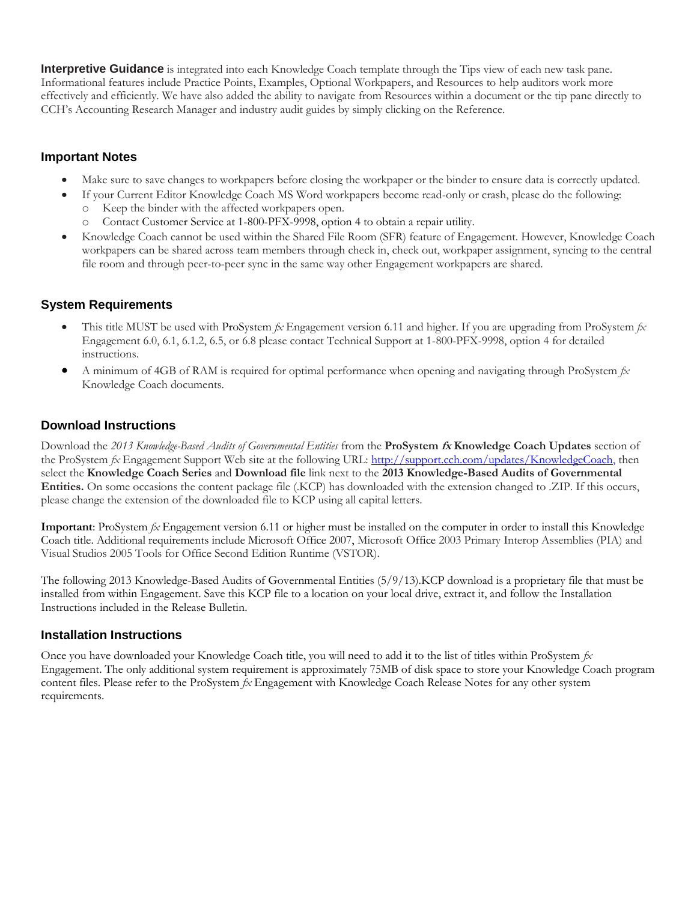**Interpretive Guidance** is integrated into each Knowledge Coach template through the Tips view of each new task pane. Informational features include Practice Points, Examples, Optional Workpapers, and Resources to help auditors work more effectively and efficiently. We have also added the ability to navigate from Resources within a document or the tip pane directly to CCH's Accounting Research Manager and industry audit guides by simply clicking on the Reference.

#### **Important Notes**

- Make sure to save changes to workpapers before closing the workpaper or the binder to ensure data is correctly updated.
- If your Current Editor Knowledge Coach MS Word workpapers become read-only or crash, please do the following:
	- Keep the binder with the affected workpapers open.
	- o Contact Customer Service at 1-800-PFX-9998, option 4 to obtain a repair utility.
- Knowledge Coach cannot be used within the Shared File Room (SFR) feature of Engagement. However, Knowledge Coach workpapers can be shared across team members through check in, check out, workpaper assignment, syncing to the central file room and through peer-to-peer sync in the same way other Engagement workpapers are shared.

#### **System Requirements**

- This title MUST be used with ProSystem *fx* Engagement version 6.11 and higher. If you are upgrading from ProSystem *fx*  Engagement 6.0, 6.1, 6.1.2, 6.5, or 6.8 please contact Technical Support at 1-800-PFX-9998, option 4 for detailed instructions.
- A minimum of 4GB of RAM is required for optimal performance when opening and navigating through ProSystem *fx*  Knowledge Coach documents.

#### **Download Instructions**

Download the *2013 Knowledge-Based Audits of Governmental Entities* from the **ProSystem fx Knowledge Coach Updates** section of the ProSystem *fx* Engagement Support Web site at the following URL: [http://support.cch.com/updates/KnowledgeCoach,](http://support.cch.com/updates/KnowledgeCoach) then select the **Knowledge Coach Series** and **Download file** link next to the **2013 Knowledge-Based Audits of Governmental Entities.** On some occasions the content package file (.KCP) has downloaded with the extension changed to .ZIP. If this occurs, please change the extension of the downloaded file to KCP using all capital letters.

**Important**: ProSystem *fx* Engagement version 6.11 or higher must be installed on the computer in order to install this Knowledge Coach title. Additional requirements include Microsoft Office 2007, Microsoft Office 2003 Primary Interop Assemblies (PIA) and Visual Studios 2005 Tools for Office Second Edition Runtime (VSTOR).

The following 2013 Knowledge-Based Audits of Governmental Entities (5/9/13).KCP download is a proprietary file that must be installed from within Engagement. Save this KCP file to a location on your local drive, extract it, and follow the Installation Instructions included in the Release Bulletin.

#### **Installation Instructions**

Once you have downloaded your Knowledge Coach title, you will need to add it to the list of titles within ProSystem *fx*  Engagement. The only additional system requirement is approximately 75MB of disk space to store your Knowledge Coach program content files. Please refer to the ProSystem *fx* Engagement with Knowledge Coach Release Notes for any other system requirements.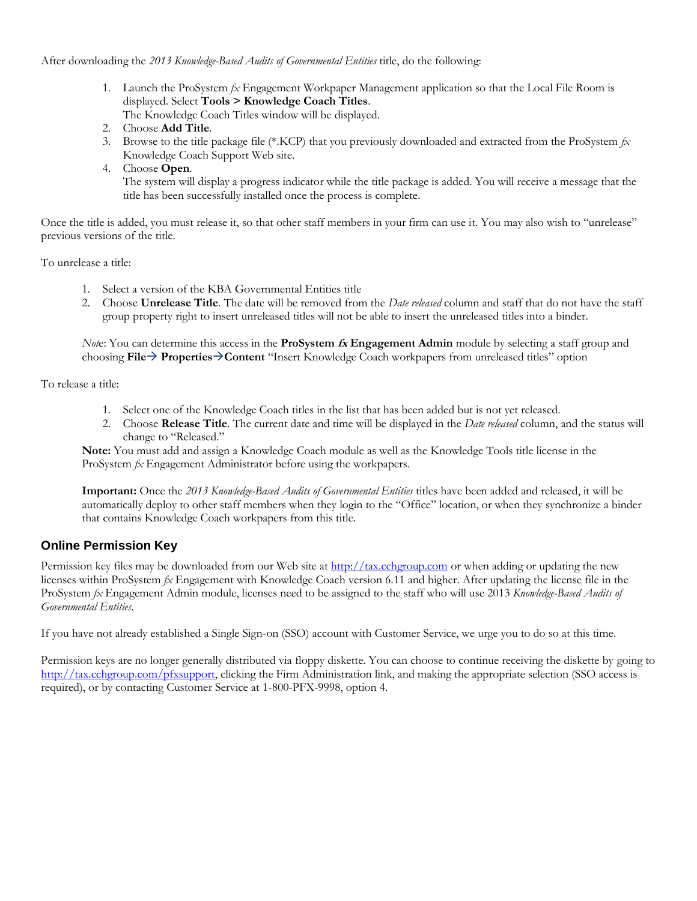After downloading the *2013 Knowledge-Based Audits of Governmental Entities* title, do the following:

- 1. Launch the ProSystem *fx* Engagement Workpaper Management application so that the Local File Room is displayed. Select **Tools > Knowledge Coach Titles**.
	- The Knowledge Coach Titles window will be displayed.
- 2. Choose **Add Title**.
- 3. Browse to the title package file (\*.KCP) that you previously downloaded and extracted from the ProSystem *fx*  Knowledge Coach Support Web site.
- 4. Choose **Open**.

The system will display a progress indicator while the title package is added. You will receive a message that the title has been successfully installed once the process is complete.

Once the title is added, you must release it, so that other staff members in your firm can use it. You may also wish to "unrelease" previous versions of the title.

To unrelease a title:

- 1. Select a version of the KBA Governmental Entities title
- 2. Choose **Unrelease Title**. The date will be removed from the *Date released* column and staff that do not have the staff group property right to insert unreleased titles will not be able to insert the unreleased titles into a binder.

*Not*e: You can determine this access in the **ProSystem fx Engagement Admin** module by selecting a staff group and choosing **File PropertiesContent** "Insert Knowledge Coach workpapers from unreleased titles" option

To release a title:

- 1. Select one of the Knowledge Coach titles in the list that has been added but is not yet released.
- 2. Choose **Release Title**. The current date and time will be displayed in the *Date released* column, and the status will change to "Released."

**Note:** You must add and assign a Knowledge Coach module as well as the Knowledge Tools title license in the ProSystem *fx* Engagement Administrator before using the workpapers.

**Important:** Once the *2013 Knowledge-Based Audits of Governmental Entities* titles have been added and released, it will be automatically deploy to other staff members when they login to the "Office" location, or when they synchronize a binder that contains Knowledge Coach workpapers from this title.

#### **Online Permission Key**

Permission key files may be downloaded from our Web site a[t http://tax.cchgroup.com](http://tax.cchgroup.com/) or when adding or updating the new licenses within ProSystem *fx* Engagement with Knowledge Coach version 6.11 and higher. After updating the license file in the ProSystem *fx* Engagement Admin module, licenses need to be assigned to the staff who will use 2013 *Knowledge-Based Audits of Governmental Entities*.

If you have not already established a Single Sign-on (SSO) account with Customer Service, we urge you to do so at this time.

Permission keys are no longer generally distributed via floppy diskette. You can choose to continue receiving the diskette by going to [http://tax.cchgroup.com/pfxsupport,](http://tax.cchgroup.com/pfxsupport) clicking the Firm Administration link, and making the appropriate selection (SSO access is required), or by contacting Customer Service at 1-800-PFX-9998, option 4.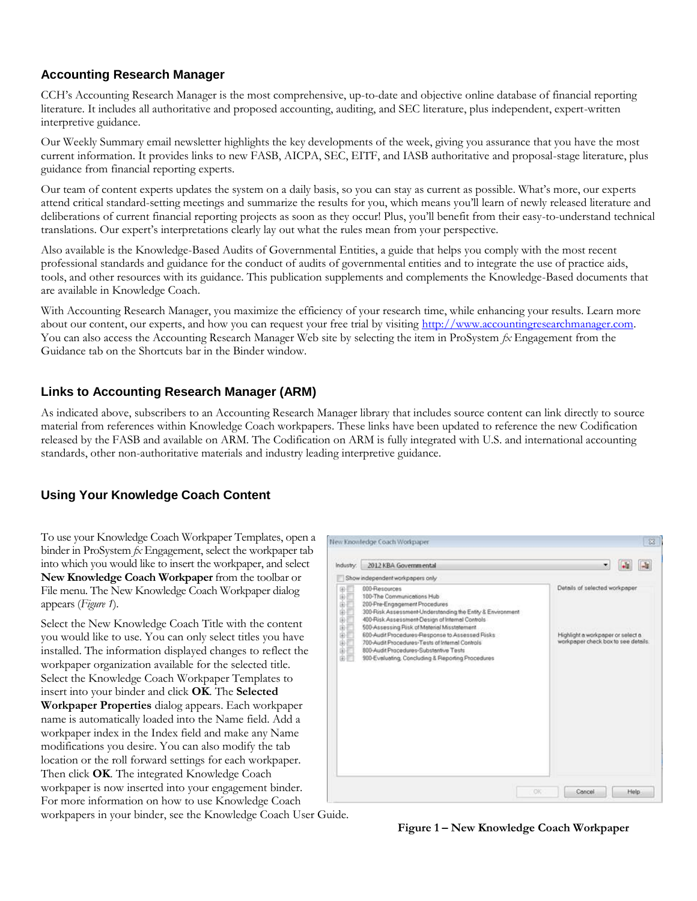## **Accounting Research Manager**

CCH's Accounting Research Manager is the most comprehensive, up-to-date and objective online database of financial reporting literature. It includes all authoritative and proposed accounting, auditing, and SEC literature, plus independent, expert-written interpretive guidance.

Our Weekly Summary email newsletter highlights the key developments of the week, giving you assurance that you have the most current information. It provides links to new FASB, AICPA, SEC, EITF, and IASB authoritative and proposal-stage literature, plus guidance from financial reporting experts.

Our team of content experts updates the system on a daily basis, so you can stay as current as possible. What's more, our experts attend critical standard-setting meetings and summarize the results for you, which means you'll learn of newly released literature and deliberations of current financial reporting projects as soon as they occur! Plus, you'll benefit from their easy-to-understand technical translations. Our expert's interpretations clearly lay out what the rules mean from your perspective.

Also available is the Knowledge-Based Audits of Governmental Entities, a guide that helps you comply with the most recent professional standards and guidance for the conduct of audits of governmental entities and to integrate the use of practice aids, tools, and other resources with its guidance. This publication supplements and complements the Knowledge-Based documents that are available in Knowledge Coach.

With Accounting Research Manager, you maximize the efficiency of your research time, while enhancing your results. Learn more about our content, our experts, and how you can request your free trial by visiting [http://www.accountingresearchmanager.com.](http://www.accountingresearchmanager.com/)  You can also access the Accounting Research Manager Web site by selecting the item in ProSystem *fx* Engagement from the Guidance tab on the Shortcuts bar in the Binder window.

### **Links to Accounting Research Manager (ARM)**

As indicated above, subscribers to an Accounting Research Manager library that includes source content can link directly to source material from references within Knowledge Coach workpapers. These links have been updated to reference the new Codification released by the FASB and available on ARM. The Codification on ARM is fully integrated with U.S. and international accounting standards, other non-authoritative materials and industry leading interpretive guidance.

### **Using Your Knowledge Coach Content**

To use your Knowledge Coach Workpaper Templates, open a binder in ProSystem *fx* Engagement, select the workpaper tab into which you would like to insert the workpaper, and select **New Knowledge Coach Workpaper** from the toolbar or File menu. The New Knowledge Coach Workpaper dialog appears (*Figure 1*).

Select the New Knowledge Coach Title with the content you would like to use. You can only select titles you have installed. The information displayed changes to reflect the workpaper organization available for the selected title. Select the Knowledge Coach Workpaper Templates to insert into your binder and click **OK**. The **Selected Workpaper Properties** dialog appears. Each workpaper name is automatically loaded into the Name field. Add a workpaper index in the Index field and make any Name modifications you desire. You can also modify the tab location or the roll forward settings for each workpaper. Then click **OK**. The integrated Knowledge Coach workpaper is now inserted into your engagement binder. For more information on how to use Knowledge Coach workpapers in your binder, see the Knowledge Coach User Guide.



**Figure 1 – New Knowledge Coach Workpaper**